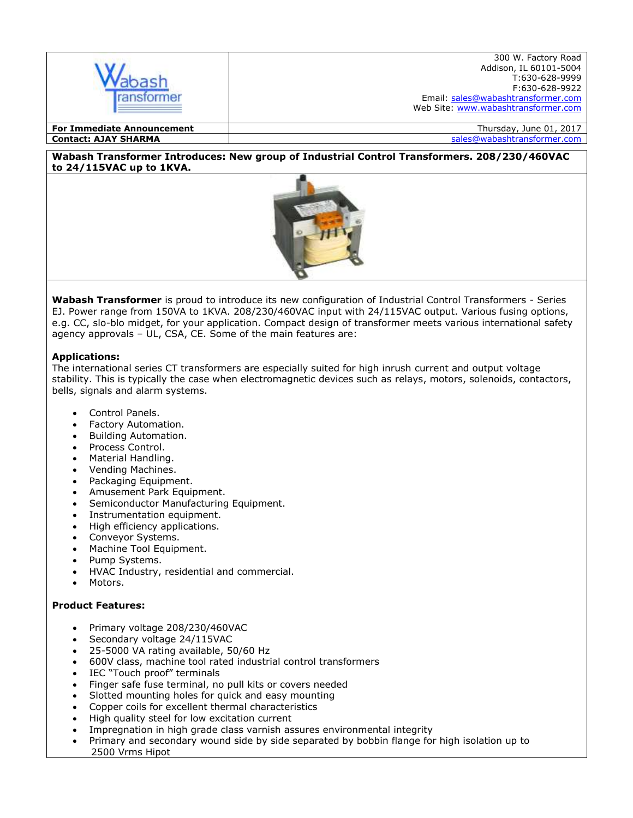

**Contact: AJAY SHARMA** sales@wabashtransformer.com

#### **Wabash Transformer Introduces: New group of Industrial Control Transformers. 208/230/460VAC to 24/115VAC up to 1KVA.**



**Wabash Transformer** is proud to introduce its new configuration of Industrial Control Transformers - Series EJ. Power range from 150VA to 1KVA. 208/230/460VAC input with 24/115VAC output. Various fusing options, e.g. CC, slo-blo midget, for your application. Compact design of transformer meets various international safety agency approvals – UL, CSA, CE. Some of the main features are:

## **Applications:**

The international series CT transformers are especially suited for high inrush current and output voltage stability. This is typically the case when electromagnetic devices such as relays, motors, solenoids, contactors, bells, signals and alarm systems.

- Control Panels.
- Factory Automation.
- Building Automation.
- Process Control.
- Material Handling.
- Vending Machines.
- Packaging Equipment.
- Amusement Park Equipment.
- Semiconductor Manufacturing Equipment.
- Instrumentation equipment.
- High efficiency applications.
- Conveyor Systems.
- Machine Tool Equipment.
- Pump Systems.
- HVAC Industry, residential and commercial.
- Motors.

# **Product Features:**

- Primary voltage 208/230/460VAC
- Secondary voltage 24/115VAC
- 25-5000 VA rating available, 50/60 Hz
- 600V class, machine tool rated industrial control transformers
- IEC "Touch proof" terminals
- Finger safe fuse terminal, no pull kits or covers needed
- Slotted mounting holes for quick and easy mounting
- Copper coils for excellent thermal characteristics
- High quality steel for low excitation current
- Impregnation in high grade class varnish assures environmental integrity
- Primary and secondary wound side by side separated by bobbin flange for high isolation up to 2500 Vrms Hipot